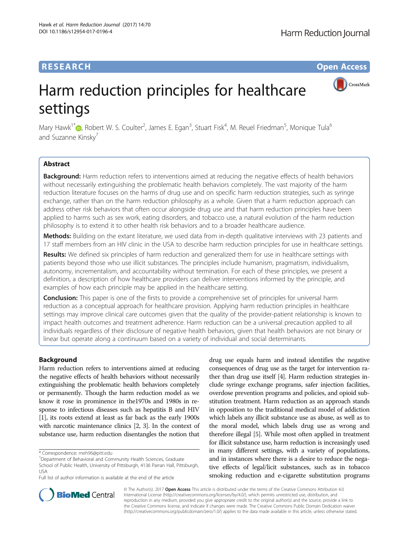## **RESEARCH CHE Open Access**



# Harm reduction principles for healthcare settings

Mary Hawk<sup>1\*</sup> D[,](http://orcid.org/0000-0001-9753-4356) Robert W. S. Coulter<sup>2</sup>, James E. Egan<sup>3</sup>, Stuart Fisk<sup>4</sup>, M. Reuel Friedman<sup>5</sup>, Monique Tula<sup>6</sup> and Suzanne Kinsky<sup>7</sup>

## Abstract

Background: Harm reduction refers to interventions aimed at reducing the negative effects of health behaviors without necessarily extinguishing the problematic health behaviors completely. The vast majority of the harm reduction literature focuses on the harms of drug use and on specific harm reduction strategies, such as syringe exchange, rather than on the harm reduction philosophy as a whole. Given that a harm reduction approach can address other risk behaviors that often occur alongside drug use and that harm reduction principles have been applied to harms such as sex work, eating disorders, and tobacco use, a natural evolution of the harm reduction philosophy is to extend it to other health risk behaviors and to a broader healthcare audience.

Methods: Building on the extant literature, we used data from in-depth qualitative interviews with 23 patients and 17 staff members from an HIV clinic in the USA to describe harm reduction principles for use in healthcare settings.

Results: We defined six principles of harm reduction and generalized them for use in healthcare settings with patients beyond those who use illicit substances. The principles include humanism, pragmatism, individualism, autonomy, incrementalism, and accountability without termination. For each of these principles, we present a definition, a description of how healthcare providers can deliver interventions informed by the principle, and examples of how each principle may be applied in the healthcare setting.

**Conclusion:** This paper is one of the firsts to provide a comprehensive set of principles for universal harm reduction as a conceptual approach for healthcare provision. Applying harm reduction principles in healthcare settings may improve clinical care outcomes given that the quality of the provider-patient relationship is known to impact health outcomes and treatment adherence. Harm reduction can be a universal precaution applied to all individuals regardless of their disclosure of negative health behaviors, given that health behaviors are not binary or linear but operate along a continuum based on a variety of individual and social determinants.

## Background

Harm reduction refers to interventions aimed at reducing the negative effects of health behaviors without necessarily extinguishing the problematic health behaviors completely or permanently. Though the harm reduction model as we know it rose in prominence in the1970s and 1980s in response to infectious diseases such as hepatitis B and HIV [[1](#page-7-0)], its roots extend at least as far back as the early 1900s with narcotic maintenance clinics [[2, 3\]](#page-7-0). In the context of substance use, harm reduction disentangles the notion that

drug use equals harm and instead identifies the negative consequences of drug use as the target for intervention rather than drug use itself [\[4](#page-8-0)]. Harm reduction strategies include syringe exchange programs, safer injection facilities, overdose prevention programs and policies, and opioid substitution treatment. Harm reduction as an approach stands in opposition to the traditional medical model of addiction which labels any illicit substance use as abuse, as well as to the moral model, which labels drug use as wrong and therefore illegal [\[5\]](#page-8-0). While most often applied in treatment for illicit substance use, harm reduction is increasingly used in many different settings, with a variety of populations, and in instances where there is a desire to reduce the negative effects of legal/licit substances, such as in tobacco smoking reduction and e-cigarette substitution programs



© The Author(s). 2017 **Open Access** This article is distributed under the terms of the Creative Commons Attribution 4.0 International License [\(http://creativecommons.org/licenses/by/4.0/](http://creativecommons.org/licenses/by/4.0/)), which permits unrestricted use, distribution, and reproduction in any medium, provided you give appropriate credit to the original author(s) and the source, provide a link to the Creative Commons license, and indicate if changes were made. The Creative Commons Public Domain Dedication waiver [\(http://creativecommons.org/publicdomain/zero/1.0/](http://creativecommons.org/publicdomain/zero/1.0/)) applies to the data made available in this article, unless otherwise stated.

<sup>\*</sup> Correspondence: [meh96@pitt.edu](mailto:meh96@pitt.edu) <sup>1</sup>

<sup>&</sup>lt;sup>1</sup>Department of Behavioral and Community Health Sciences, Graduate School of Public Health, University of Pittsburgh, 4136 Parran Hall, Pittsburgh, USA

Full list of author information is available at the end of the article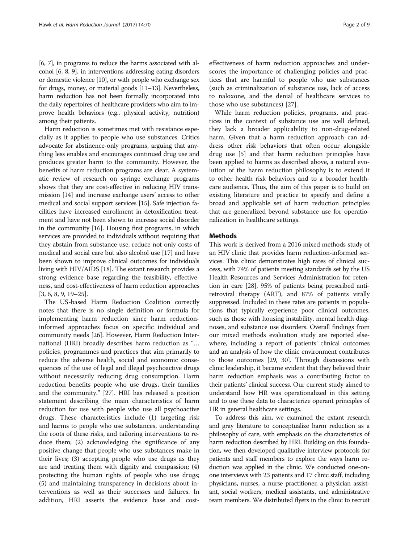[[6](#page-8-0), [7](#page-8-0)], in programs to reduce the harms associated with alcohol [[6](#page-8-0), [8](#page-8-0), [9](#page-8-0)], in interventions addressing eating disorders or domestic violence [\[10\]](#page-8-0), or with people who exchange sex for drugs, money, or material goods [[11](#page-8-0)–[13](#page-8-0)]. Nevertheless, harm reduction has not been formally incorporated into the daily repertoires of healthcare providers who aim to improve health behaviors (e.g., physical activity, nutrition) among their patients.

Harm reduction is sometimes met with resistance especially as it applies to people who use substances. Critics advocate for abstinence-only programs, arguing that anything less enables and encourages continued drug use and produces greater harm to the community. However, the benefits of harm reduction programs are clear. A systematic review of research on syringe exchange programs shows that they are cost-effective in reducing HIV transmission [[14\]](#page-8-0) and increase exchange users' access to other medical and social support services [\[15\]](#page-8-0). Safe injection facilities have increased enrollment in detoxification treatment and have not been shown to increase social disorder in the community [[16](#page-8-0)]. Housing first programs, in which services are provided to individuals without requiring that they abstain from substance use, reduce not only costs of medical and social care but also alcohol use [[17\]](#page-8-0) and have been shown to improve clinical outcomes for individuals living with HIV/AIDS [\[18\]](#page-8-0). The extant research provides a strong evidence base regarding the feasibility, effectiveness, and cost-effectiveness of harm reduction approaches [[3,](#page-7-0) [6](#page-8-0), [8, 9](#page-8-0), [19](#page-8-0)–[25\]](#page-8-0).

The US-based Harm Reduction Coalition correctly notes that there is no single definition or formula for implementing harm reduction since harm reductioninformed approaches focus on specific individual and community needs [\[26\]](#page-8-0). However, Harm Reduction International (HRI) broadly describes harm reduction as "… policies, programmes and practices that aim primarily to reduce the adverse health, social and economic consequences of the use of legal and illegal psychoactive drugs without necessarily reducing drug consumption. Harm reduction benefits people who use drugs, their families and the community." [\[27](#page-8-0)]. HRI has released a position statement describing the main characteristics of harm reduction for use with people who use all psychoactive drugs. These characteristics include (1) targeting risk and harms to people who use substances, understanding the roots of these risks, and tailoring interventions to reduce them; (2) acknowledging the significance of any positive change that people who use substances make in their lives; (3) accepting people who use drugs as they are and treating them with dignity and compassion; (4) protecting the human rights of people who use drugs; (5) and maintaining transparency in decisions about interventions as well as their successes and failures. In addition, HRI asserts the evidence base and costeffectiveness of harm reduction approaches and underscores the importance of challenging policies and practices that are harmful to people who use substances (such as criminalization of substance use, lack of access to naloxone, and the denial of healthcare services to those who use substances) [[27\]](#page-8-0).

While harm reduction policies, programs, and practices in the context of substance use are well defined, they lack a broader applicability to non-drug-related harm. Given that a harm reduction approach can address other risk behaviors that often occur alongside drug use [\[5](#page-8-0)] and that harm reduction principles have been applied to harms as described above, a natural evolution of the harm reduction philosophy is to extend it to other health risk behaviors and to a broader healthcare audience. Thus, the aim of this paper is to build on existing literature and practice to specify and define a broad and applicable set of harm reduction principles that are generalized beyond substance use for operationalization in healthcare settings.

#### **Methods**

This work is derived from a 2016 mixed methods study of an HIV clinic that provides harm reduction-informed services. This clinic demonstrates high rates of clinical success, with 74% of patients meeting standards set by the US Health Resources and Services Administration for retention in care [[28](#page-8-0)], 95% of patients being prescribed antiretroviral therapy (ART), and 87% of patients virally suppressed. Included in these rates are patients in populations that typically experience poor clinical outcomes, such as those with housing instability, mental health diagnoses, and substance use disorders. Overall findings from our mixed methods evaluation study are reported elsewhere, including a report of patients' clinical outcomes and an analysis of how the clinic environment contributes to those outcomes [\[29](#page-8-0), [30](#page-8-0)]. Through discussions with clinic leadership, it became evident that they believed their harm reduction emphasis was a contributing factor to their patients' clinical success. Our current study aimed to understand how HR was operationalized in this setting and to use these data to characterize operant principles of HR in general healthcare settings.

To address this aim, we examined the extant research and gray literature to conceptualize harm reduction as a philosophy of care, with emphasis on the characteristics of harm reduction described by HRI. Building on this foundation, we then developed qualitative interview protocols for patients and staff members to explore the ways harm reduction was applied in the clinic. We conducted one-onone interviews with 23 patients and 17 clinic staff, including physicians, nurses, a nurse practitioner, a physician assistant, social workers, medical assistants, and administrative team members. We distributed flyers in the clinic to recruit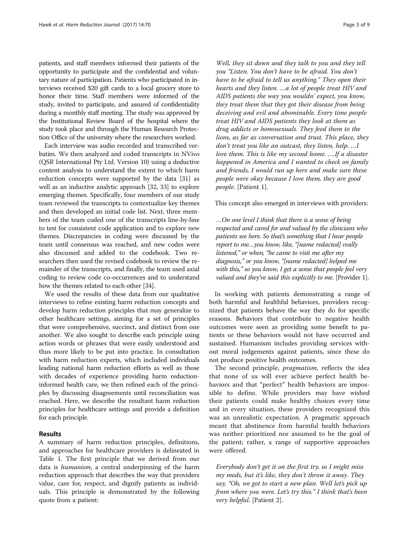patients, and staff members informed their patients of the opportunity to participate and the confidential and voluntary nature of participation. Patients who participated in interviews received \$20 gift cards to a local grocery store to honor their time. Staff members were informed of the study, invited to participate, and assured of confidentiality during a monthly staff meeting. The study was approved by the Institutional Review Board of the hospital where the study took place and through the Human Research Protection Office of the university where the researchers worked.

Each interview was audio recorded and transcribed verbatim. We then analyzed and coded transcripts in NVivo (QSR International Pty Ltd. Version 10) using a deductive content analysis to understand the extent to which harm reduction concepts were supported by the data [[31\]](#page-8-0) as well as an inductive analytic approach [\[32, 33\]](#page-8-0) to explore emerging themes. Specifically, four members of our study team reviewed the transcripts to contextualize key themes and then developed an initial code list. Next, three members of the team coded one of the transcripts line-by-line to test for consistent code application and to explore new themes. Discrepancies in coding were discussed by the team until consensus was reached, and new codes were also discussed and added to the codebook. Two researchers then used the revised codebook to review the remainder of the transcripts, and finally, the team used axial coding to review code co-occurrences and to understand how the themes related to each other [\[34\]](#page-8-0).

We used the results of these data from our qualitative interviews to refine existing harm reduction concepts and develop harm reduction principles that may generalize to other healthcare settings, aiming for a set of principles that were comprehensive, succinct, and distinct from one another. We also sought to describe each principle using action words or phrases that were easily understood and thus more likely to be put into practice. In consultation with harm reduction experts, which included individuals leading national harm reduction efforts as well as those with decades of experience providing harm reductioninformed health care, we then refined each of the principles by discussing disagreements until reconciliation was reached. Here, we describe the resultant harm reduction principles for healthcare settings and provide a definition for each principle.

### Results

A summary of harm reduction principles, definitions, and approaches for healthcare providers is delineated in Table [1.](#page-3-0) The first principle that we derived from our data is humanism, a central underpinning of the harm reduction approach that describes the way that providers value, care for, respect, and dignify patients as individuals. This principle is demonstrated by the following quote from a patient:

Well, they sit down and they talk to you and they tell you "Listen. You don't have to be afraid. You don't have to be afraid to tell us anything." They open their hearts and they listen. …a lot of people treat HIV and AIDS patients the way you wouldn' expect, you know, they treat them that they got their disease from being deceiving and evil and abominable. Every time people treat HIV and AIDS patients they look at them as drug addicts or homosexuals. They feed them to the lions, as far as conversation and trust. This place, they don't treat you like an outcast, they listen, help. …I love them. This is like my second home. ….If a disaster happened in America and I wanted to check on family and friends, I would run up here and make sure these people were okay because I love them, they are good people. [Patient 1].

#### This concept also emerged in interviews with providers:

…On one level I think that there is a sense of being respected and cared for and valued by the clinicians who patients see here. So that's something that I hear people report to me…you know, like, "[name redacted] really listened," or when, "he came to visit me after my diagnosis," or you know, "[name redacted] helped me with this," so you know, I get a sense that people feel very valued and they've said this explicitly to me. [Provider 1].

In working with patients demonstrating a range of both harmful and healthful behaviors, providers recognized that patients behave the way they do for specific reasons. Behaviors that contribute to negative health outcomes were seen as providing some benefit to patients or these behaviors would not have occurred and sustained. Humanism includes providing services without moral judgements against patients, since these do not produce positive health outcomes.

The second principle, *pragmatism*, reflects the idea that none of us will ever achieve perfect health behaviors and that "perfect" health behaviors are impossible to define. While providers may have wished their patients could make healthy choices every time and in every situation, these providers recognized this was an unrealistic expectation. A pragmatic approach meant that abstinence from harmful health behaviors was neither prioritized nor assumed to be the goal of the patient; rather, a range of supportive approaches were offered.

Everybody don't get it on the first try, so I might miss my meds, but it's like, they don't throw it away. They say, "Oh, we got to start a new plan. Well let's pick up from where you were. Let's try this." I think that's been very helpful. [Patient 2].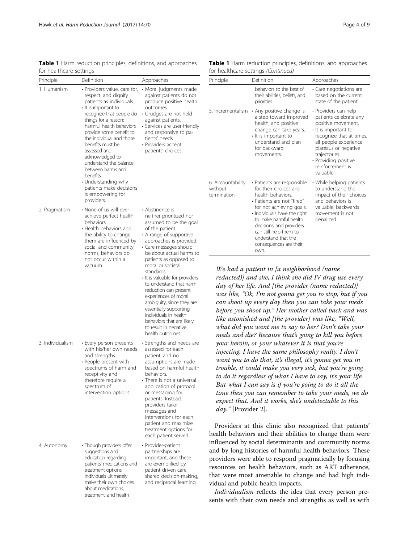<span id="page-3-0"></span>

| Principle        | Definition                                                                                                                                                                                                                                                                                                                                                                                | Approaches                                                                                                                                                                                                                                                                                                                                                                                                                                                                                                                               | Principle                                                                                                                                                                                                                                                   | Definition                                                                                                                                                                                                                                                                  |
|------------------|-------------------------------------------------------------------------------------------------------------------------------------------------------------------------------------------------------------------------------------------------------------------------------------------------------------------------------------------------------------------------------------------|------------------------------------------------------------------------------------------------------------------------------------------------------------------------------------------------------------------------------------------------------------------------------------------------------------------------------------------------------------------------------------------------------------------------------------------------------------------------------------------------------------------------------------------|-------------------------------------------------------------------------------------------------------------------------------------------------------------------------------------------------------------------------------------------------------------|-----------------------------------------------------------------------------------------------------------------------------------------------------------------------------------------------------------------------------------------------------------------------------|
| 1. Humanism      | • Providers value, care for,<br>respect, and dignify<br>patients as individuals.<br>• It is important to<br>recognize that people do<br>things for a reason;<br>harmful health behaviors<br>provide some benefit to<br>the individual and those<br>benefits must be<br>assessed and<br>acknowledged to<br>understand the balance<br>between harms and<br>benefits.<br>• Understanding why | • Moral judgments made<br>against patients do not<br>produce positive health<br>outcomes.<br>· Grudges are not held<br>against patients.<br>• Services are user-friendly<br>and responsive to pa-<br>tients' needs.<br>• Providers accept<br>patients' choices.                                                                                                                                                                                                                                                                          |                                                                                                                                                                                                                                                             | behaviors to the best of<br>their abilities, beliefs, anc<br>priorities.                                                                                                                                                                                                    |
|                  |                                                                                                                                                                                                                                                                                                                                                                                           |                                                                                                                                                                                                                                                                                                                                                                                                                                                                                                                                          | 6. Accountability                                                                                                                                                                                                                                           | 5. Incrementalism $\cdot$ Any positive change is<br>a step toward improve<br>health, and positive<br>change can take years.<br>• It is important to<br>understand and plan<br>for backward<br>movements.<br>• Patients are responsibl                                       |
|                  | patients make decisions<br>is empowering for<br>providers.                                                                                                                                                                                                                                                                                                                                |                                                                                                                                                                                                                                                                                                                                                                                                                                                                                                                                          | without<br>termination                                                                                                                                                                                                                                      | for their choices and<br>health behaviors.<br>• Patients are not "fired"<br>for not achieving goal!<br>• Individuals have the righ<br>to make harmful health<br>decisions, and providers<br>can still help them to<br>understand that the<br>consequences are their<br>own. |
| 2. Pragmatism    | • None of us will ever<br>achieve perfect health<br>behaviors.<br>• Health behaviors and<br>the ability to change<br>them are influenced by<br>social and community<br>norms; behaviors do<br>not occur within a<br>vacuum.                                                                                                                                                               | • Abstinence is<br>neither prioritized nor<br>assumed to be the goal<br>of the patient.<br>• A range of supportive<br>approaches is provided.<br>• Care messages should<br>be about actual harms to<br>patients as opposed to<br>moral or societal<br>standards.<br>• It is valuable for providers<br>to understand that harm<br>reduction can present<br>experiences of moral<br>ambiguity, since they are<br>essentially supporting<br>individuals in health<br>behaviors that are likely<br>to result in negative<br>health outcomes. |                                                                                                                                                                                                                                                             |                                                                                                                                                                                                                                                                             |
|                  |                                                                                                                                                                                                                                                                                                                                                                                           |                                                                                                                                                                                                                                                                                                                                                                                                                                                                                                                                          |                                                                                                                                                                                                                                                             | We had a patient in [a neighbo<br>redacted)] and she, I think she a                                                                                                                                                                                                         |
|                  |                                                                                                                                                                                                                                                                                                                                                                                           |                                                                                                                                                                                                                                                                                                                                                                                                                                                                                                                                          |                                                                                                                                                                                                                                                             | day of her life. And [the provide<br>was like, "Ok, I'm not gonna get<br>can shoot up every day then you<br>before you shoot up." Her mothe<br>like astonished and [the provide<br>what did you want me to say to                                                           |
| 3. Individualism | • Every person presents<br>with his/her own needs<br>and strengths.<br>• People present with<br>spectrums of harm and<br>receptivity and<br>therefore require a<br>spectrum of                                                                                                                                                                                                            | • Strengths and needs are<br>assessed for each<br>patient, and no<br>assumptions are made<br>based on harmful health<br>behaviors.<br>• There is not a universal<br>application of protocol                                                                                                                                                                                                                                                                                                                                              | meds and die? Because that's go<br>your heroin, or your whatever it<br>injecting. I have the same philos<br>want you to do that, it's illegal,<br>trouble, it could make you very<br>to do it regardless of what I hav<br>But what I can say is if you're g |                                                                                                                                                                                                                                                                             |

Table 1 Harm reduction principles, definitions, and approaches for healthcare settings (Continued)

Approaches

• Care negotiations are

|                                             | their abilities, beliefs, and<br>priorities.                                                                                                                                                                                                                                                        | based on the current<br>state of the patient.                                                                                                                                                                                                       |
|---------------------------------------------|-----------------------------------------------------------------------------------------------------------------------------------------------------------------------------------------------------------------------------------------------------------------------------------------------------|-----------------------------------------------------------------------------------------------------------------------------------------------------------------------------------------------------------------------------------------------------|
| 5. Incrementalism                           | • Any positive change is<br>a step toward improved<br>health, and positive<br>change can take years.<br>• It is important to<br>understand and plan<br>for backward<br>movements.                                                                                                                   | • Providers can help<br>patients celebrate any<br>positive movement.<br>• It is important to<br>recognize that at times,<br>all people experience<br>plateaus or negative<br>trajectories.<br>• Providing positive<br>reinforcement is<br>valuable. |
| 6. Accountability<br>without<br>termination | • Patients are responsible<br>for their choices and<br>health behaviors.<br>• Patients are not "fired"<br>for not achieving goals.<br>• Individuals have the right<br>to make harmful health<br>decisions, and providers<br>can still help them to<br>understand that the<br>consequences are their | • While helping patients<br>to understand the<br>impact of their choices<br>and behaviors is<br>valuable, backwards<br>movement is not<br>penalized.                                                                                                |

spectrum of intervention options.

4. Autonomy • Though providers offer

suggestions and education regarding patients' medications and treatment options, individuals ultimately make their own choices about medications, treatment, and health

• Provider-patient partnerships are important, and these are exemplified by patient-driven care, shared decision-making, and reciprocal learning.

or messaging for patients. Instead, providers tailor messages and interventions for each patient and maximize treatment options for each patient served.

me to say to her? Don't take your use that's going to kill you before whatever it is that you're same philosophy really. I don't , it's illegal, it's gonna get you in ke you very sick, but you're going f what I have to say; it's your life. is if you're going to do it all the time then you can remember to take your meds, we do expect that. And it works, she's undetectable to this day." [Provider 2].

Providers at this clinic also recognized that patients' health behaviors and their abilities to change them were influenced by social determinants and community norms and by long histories of harmful health behaviors. These providers were able to respond pragmatically by focusing resources on health behaviors, such as ART adherence, that were most amenable to change and had high individual and public health impacts.

Individualism reflects the idea that every person presents with their own needs and strengths as well as with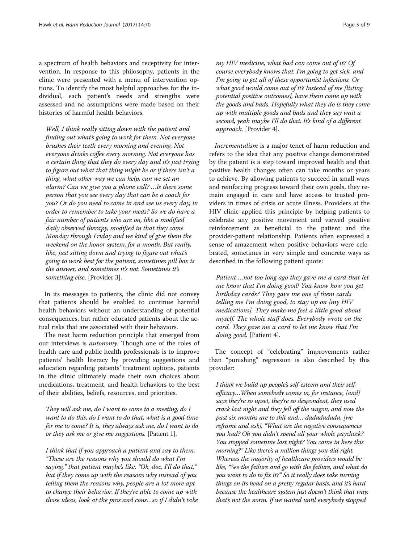a spectrum of health behaviors and receptivity for intervention. In response to this philosophy, patients in the clinic were presented with a menu of intervention options. To identify the most helpful approaches for the individual, each patient's needs and strengths were assessed and no assumptions were made based on their histories of harmful health behaviors.

Well, I think really sitting down with the patient and finding out what's going to work for them. Not everyone brushes their teeth every morning and evening. Not everyone drinks coffee every morning. Not everyone has a certain thing that they do every day and it's just trying to figure out what that thing might be or if there isn't a thing, what other way we can help, can we set an alarm? Can we give you a phone call? …Is there some person that you see every day that can be a coach for you? Or do you need to come in and see us every day, in order to remember to take your meds? So we do have a fair number of patients who are on, like a modified daily observed therapy, modified in that they come Monday through Friday and we kind of give them the weekend on the honor system, for a month. But really, like, just sitting down and trying to figure out what's going to work best for the patient, sometimes pill box is the answer, and sometimes it's not. Sometimes it's something else. [Provider 3].

In its messages to patients, the clinic did not convey that patients should be enabled to continue harmful health behaviors without an understanding of potential consequences, but rather educated patients about the actual risks that are associated with their behaviors.

The next harm reduction principle that emerged from our interviews is autonomy. Though one of the roles of health care and public health professionals is to improve patients' health literacy by providing suggestions and education regarding patients' treatment options, patients in the clinic ultimately made their own choices about medications, treatment, and health behaviors to the best of their abilities, beliefs, resources, and priorities.

They will ask me, do I want to come to a meeting, do I want to do this, do I want to do that, what is a good time for me to come? It is, they always ask me, do I want to do or they ask me or give me suggestions. [Patient 1].

I think that if you approach a patient and say to them, "These are the reasons why you should do what I'm saying," that patient maybe's like, "Ok, doc, I'll do that," but if they come up with the reasons why instead of you telling them the reasons why, people are a lot more apt to change their behavior. If they're able to come up with those ideas, look at the pros and cons…so if I didn't take my HIV medicine, what bad can come out of it? Of course everybody knows that. I'm going to get sick, and I'm going to get all of these opportunist infections. Or what good would come out of it? Instead of me [listing] potential positive outcomes], have them come up with the goods and bads. Hopefully what they do is they come up with multiple goods and bads and they say wait a second, yeah maybe I'll do that. It's kind of a different approach. [Provider 4].

Incrementalism is a major tenet of harm reduction and refers to the idea that any positive change demonstrated by the patient is a step toward improved health and that positive health changes often can take months or years to achieve. By allowing patients to succeed in small ways and reinforcing progress toward their own goals, they remain engaged in care and have access to trusted providers in times of crisis or acute illness. Providers at the HIV clinic applied this principle by helping patients to celebrate any positive movement and viewed positive reinforcement as beneficial to the patient and the provider-patient relationship. Patients often expressed a sense of amazement when positive behaviors were celebrated, sometimes in very simple and concrete ways as described in the following patient quote:

Patient:…not too long ago they gave me a card that let me know that I'm doing good! You know how you get birthday cards? They gave me one of them cards telling me I'm doing good, to stay up on [my HIV medications]. They make me feel a little good about myself. The whole staff does. Everybody wrote on the card. They gave me a card to let me know that I'm doing good. [Patient 4].

The concept of "celebrating" improvements rather than "punishing" regression is also described by this provider:

I think we build up people's self-esteem and their selfefficacy…When somebody comes in, for instance, [and] says they're so upset, they're so despondent, they used crack last night and they fell off the wagon, and now the past six months are to shit and... dadadadada, [we reframe and ask], "What are the negative consequences you had? Oh you didn't spend all your whole paycheck? You stopped sometime last night? You came in here this morning?" Like there's a million things you did right. Whereas the majority of healthcare providers would be like, "See the failure and go with the failure, and what do you want to do to fix it?" So it really does take turning things on its head on a pretty regular basis, and it's hard because the healthcare system just doesn't think that way; that's not the norm. If we waited until everybody stopped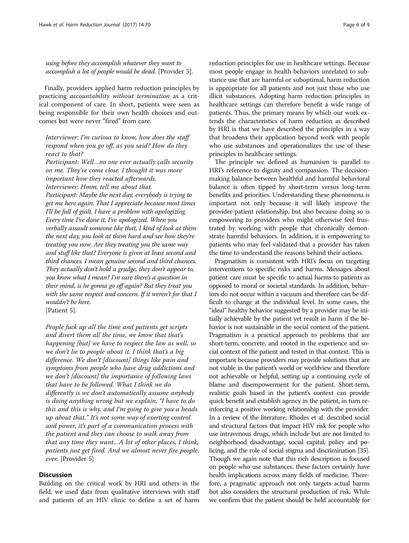using before they accomplish whatever they want to accomplish a lot of people would be dead. [Provider 5].

Finally, providers applied harm reduction principles by practicing accountability without termination as a critical component of care. In short, patients were seen as being responsible for their own health choices and outcomes but were never "fired" from care.

Interviewer: I'm curious to know, how does the staff respond when you go off, as you said? How do they react to that?

Participant: Well…no one ever actually calls security on me. They've come close. I thought it was more important how they reacted afterwards. Interviewer: Hmm, tell me about that. Participant: Maybe the next day, everybody is trying to get me here again. That I appreciate because most times I'll be full of guilt. I have a problem with apologizing. Every time I've done it, I've apologized. When you verbally assault someone like that, I kind of look at them the next day, you look at them hard and see how they're treating you now. Are they treating you the same way and stuff like that? Everyone is given at least second and third chances. I mean genuine second and third chances. They actually don't hold a grudge, they don't appear to, you know what I mean? I'm sure there's a question in their mind, is he gonna go off again? But they treat you with the same respect and concern. If it weren't for that I wouldn't be here.

[Patient 5].

People fuck up all the time and patients get scripts and divert them all the time, we know that that's happening [but] we have to respect the law as well, so we don't lie to people about it. I think that's a big difference. We don't [discount] things like pain and symptoms from people who have drug addictions and we don't *[discount]* the *importance* of *following laws* that have to be followed. What I think we do differently is we don't automatically assume anybody is doing anything wrong but we explain, "I have to do this and this is why, and I'm going to give you a heads up about that." It's not some way of exerting control and power, it's part of a communication process with the patient and they can choose to walk away from that any time they want…A lot of other places, I think, patients just get fired. And we almost never fire people, ever. [Provider 5]

## **Discussion**

Building on the critical work by HRI and others in the field, we used data from qualitative interviews with staff and patients of an HIV clinic to define a set of harm most people engage in health behaviors unrelated to substance use that are harmful or suboptimal, harm reduction is appropriate for all patients and not just those who use illicit substances. Adopting harm reduction principles in healthcare settings can therefore benefit a wide range of patients. Thus, the primary means by which our work extends the characteristics of harm reduction as described by HRI is that we have described the principles in a way that broadens their application beyond work with people who use substances and operationalizes the use of these principles in healthcare settings.

The principle we defined as humanism is parallel to HRI's reference to dignity and compassion. The decisionmaking balance between healthful and harmful behavioral balance is often tipped by short-term versus long-term benefits and priorities. Understanding these phenomena is important not only because it will likely improve the provider-patient relationship, but also because doing so is empowering to providers who might otherwise feel frustrated by working with people that chronically demonstrate harmful behaviors. In addition, it is empowering to patients who may feel validated that a provider has taken the time to understand the reasons behind their actions.

Pragmatism is consistent with HRI's focus on targeting interventions to specific risks and harms. Messages about patient care must be specific to actual harms to patients as opposed to moral or societal standards. In addition, behaviors do not occur within a vacuum and therefore can be difficult to change at the individual level. In some cases, the "ideal" healthy behavior suggested by a provider may be initially achievable by the patient yet result in harm if the behavior is not sustainable in the social context of the patient. Pragmatism is a practical approach to problems that are short-term, concrete, and rooted in the experience and social context of the patient and tested in that context. This is important because providers may provide solutions that are not viable in the patient's world or worldview and therefore not achievable or helpful, setting up a continuing cycle of blame and disempowerment for the patient. Short-term, realistic goals based in the patient's context can provide quick benefit and establish agency in the patient, in turn reinforcing a positive working relationship with the provider. In a review of the literature, Rhodes et al. described social and structural factors that impact HIV risk for people who use intravenous drugs, which include but are not limited to neighborhood disadvantage, social capital, policy and policing, and the role of social stigma and discrimination [\[35](#page-8-0)]. Though we again note that this rich description is focused on people who use substances, these factors certainly have health implications across many fields of medicine. Therefore, a pragmatic approach not only targets actual harms but also considers the structural production of risk. While we confirm that the patient should be held accountable for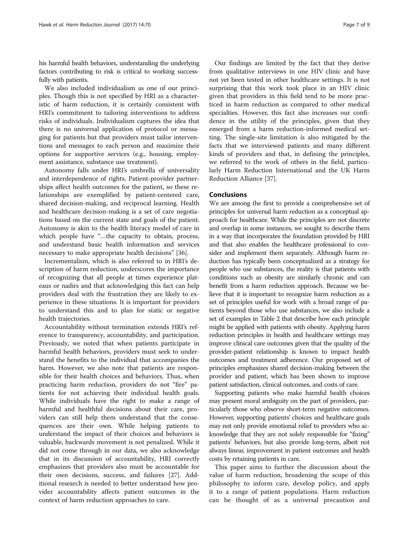his harmful health behaviors, understanding the underlying factors contributing to risk is critical to working successfully with patients.

We also included individualism as one of our principles. Though this is not specified by HRI as a characteristic of harm reduction, it is certainly consistent with HRI's commitment to tailoring interventions to address risks of individuals. Individualism captures the idea that there is no universal application of protocol or messaging for patients but that providers must tailor interventions and messages to each person and maximize their options for supportive services (e.g., housing, employment assistance, substance use treatment).

Autonomy falls under HRI's umbrella of universality and interdependence of rights. Patient-provider partnerships affect health outcomes for the patient, so these relationships are exemplified by patient-centered care, shared decision-making, and reciprocal learning. Health and healthcare decision-making is a set of care negotiations based on the current state and goals of the patient. Autonomy is akin to the health literacy model of care in which people have "…the capacity to obtain, process, and understand basic health information and services necessary to make appropriate health decisions" [[36](#page-8-0)].

Incrementalism, which is also referred to in HRI's description of harm reduction, underscores the importance of recognizing that all people at times experience plateaus or nadirs and that acknowledging this fact can help providers deal with the frustration they are likely to experience in these situations. It is important for providers to understand this and to plan for static or negative health trajectories.

Accountability without termination extends HRI's reference to transparency, accountability, and participation. Previously, we noted that when patients participate in harmful health behaviors, providers must seek to understand the benefits to the individual that accompanies the harm. However, we also note that patients are responsible for their health choices and behaviors. Thus, when practicing harm reduction, providers do not "fire" patients for not achieving their individual health goals. While individuals have the right to make a range of harmful and healthful decisions about their care, providers can still help them understand that the consequences are their own. While helping patients to understand the impact of their choices and behaviors is valuable, backwards movement is not penalized. While it did not come through in our data, we also acknowledge that in its discussion of accountability, HRI correctly emphasizes that providers also must be accountable for their own decisions, success, and failures [\[27](#page-8-0)]. Additional research is needed to better understand how provider accountability affects patient outcomes in the context of harm reduction approaches to care.

Our findings are limited by the fact that they derive from qualitative interviews in one HIV clinic and have not yet been tested in other healthcare settings. It is not surprising that this work took place in an HIV clinic given that providers in this field tend to be more practiced in harm reduction as compared to other medical specialties. However, this fact also increases our confidence in the utility of the principles, given that they emerged from a harm reduction-informed medical setting. The single-site limitation is also mitigated by the facts that we interviewed patients and many different kinds of providers and that, in defining the principles, we referred to the work of others in the field, particularly Harm Reduction International and the UK Harm Reduction Alliance [[37](#page-8-0)].

#### Conclusions

We are among the first to provide a comprehensive set of principles for universal harm reduction as a conceptual approach for healthcare. While the principles are not discrete and overlap in some instances, we sought to describe them in a way that incorporates the foundation provided by HRI and that also enables the healthcare professional to consider and implement them separately. Although harm reduction has typically been conceptualized as a strategy for people who use substances, the reality is that patients with conditions such as obesity are similarly chronic and can benefit from a harm reduction approach. Because we believe that it is important to recognize harm reduction as a set of principles useful for work with a broad range of patients beyond those who use substances, we also include a set of examples in Table [2](#page-7-0) that describe how each principle might be applied with patients with obesity. Applying harm reduction principles in health and healthcare settings may improve clinical care outcomes given that the quality of the provider-patient relationship is known to impact health outcomes and treatment adherence. Our proposed set of principles emphasizes shared decision-making between the provider and patient, which has been shown to improve patient satisfaction, clinical outcomes, and costs of care.

Supporting patients who make harmful health choices may present moral ambiguity on the part of providers, particularly those who observe short-term negative outcomes. However, supporting patients' choices and healthcare goals may not only provide emotional relief to providers who acknowledge that they are not solely responsible for "fixing" patients' behaviors, but also provide long-term, albeit not always linear, improvement in patient outcomes and health costs by retaining patients in care.

This paper aims to further the discussion about the value of harm reduction, broadening the scope of this philosophy to inform care, develop policy, and apply it to a range of patient populations. Harm reduction can be thought of as a universal precaution and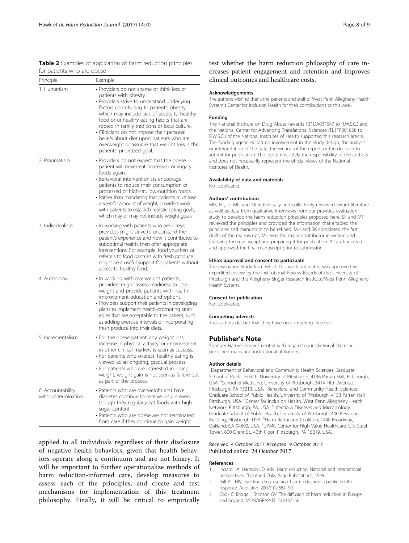<span id="page-7-0"></span>

| <b>Table 2</b> Examples of application of harm reduction principles |  |  |
|---------------------------------------------------------------------|--|--|
| for patients who are obese                                          |  |  |

| Principle                                | Example                                                                                                                                                                                                                                                                                                                                                                                                                                                                              |
|------------------------------------------|--------------------------------------------------------------------------------------------------------------------------------------------------------------------------------------------------------------------------------------------------------------------------------------------------------------------------------------------------------------------------------------------------------------------------------------------------------------------------------------|
| 1. Humanism                              | • Providers do not shame or think less of<br>patients with obesity.<br>• Providers strive to understand underlying<br>factors contributing to patients' obesity,<br>which may include lack of access to healthy<br>food or unhealthy eating habits that are<br>rooted in family traditions or local culture.<br>· Clinicians do not impose their personal<br>beliefs about diet upon patients who are<br>overweight or assume that weight loss is the<br>patients' prioritized goal. |
| 2. Pragmatism                            | • Providers do not expect that the obese<br>patient will never eat processed or sugary<br>foods again.<br>· Behavioral interventionists encourage<br>patients to reduce their consumption of<br>processed or high-fat, low-nutrition foods.<br>• Rather than mandating that patients must lose<br>a specific amount of weight, providers work<br>with patients to establish realistic eating goals,<br>which may or may not include weight goals.                                    |
| 3. Individualism                         | • In working with patients who are obese,<br>providers might strive to understand the<br>patient's experience and how it contributes to<br>suboptimal health, then offer appropriate<br>interventions. For example, food vouchers or<br>referrals to food pantries with fresh produce<br>might be a useful support for patients without<br>access to healthy food.                                                                                                                   |
| 4. Autonomy                              | • In working with overweight patients,<br>providers might assess readiness to lose<br>weight and provide patients with health<br>improvement education and options.<br>• Providers support their patients in developing<br>plans to implement health-promoting strat-<br>egies that are acceptable to the patient, such<br>as adding exercise intervals or incorporating<br>fresh produce into their diets.                                                                          |
| 5. Incrementalism                        | • For the obese patient, any weight loss,<br>increase in physical activity, or improvement<br>in other clinical markers is seen as success.<br>• For patients who overeat, healthy eating is<br>viewed as an ongoing, gradual process.<br>· For patients who are interested in losing<br>weight, weight gain is not seen as failure but<br>as part of the process.                                                                                                                   |
| 6. Accountability<br>without termination | • Patients who are overweight and have<br>diabetes continue to receive insulin even<br>though they regularly eat foods with high<br>sugar content.<br>• Patients who are obese are not terminated<br>from care if they continue to gain weight.                                                                                                                                                                                                                                      |

applied to all individuals regardless of their disclosure of negative health behaviors, given that health behaviors operate along a continuum and are not binary. It will be important to further operationalize methods of harm reduction-informed care, develop measures to assess each of the principles, and create and test mechanisms for implementation of this treatment philosophy. Finally, it will be critical to empirically

test whether the harm reduction philosophy of care increases patient engagement and retention and improves clinical outcomes and healthcare costs.

#### Acknowledgements

The authors wish to thank the patients and staff of West Penn Allegheny Health System's Center for Inclusion Health for their contributions to this work.

#### Funding

The National Institute on Drug Abuse (awards F31DA037647 to R.W.S.C.) and the National Center for Advancing Translational Sciences (TL1TR001858 to R.W.S.C.) of the National Institutes of Health supported this research article. The funding agencies had no involvement in the study design, the analysis or interpretation of the data, the writing of the report, or the decision to submit for publication. The content is solely the responsibility of the authors and does not necessarily represent the official views of the National Institutes of Health.

#### Availability of data and materials

Not applicable.

#### Authors' contributions

MH, RC, JE, MF, and SK individually and collectively reviewed extant literature as well as data from qualitative interviews from our previous evaluation study to develop the harm reduction principles proposed here. SF and MT reviewed the principles and provided the information that enabled the principles and manuscript to be refined. MH and SK completed the first drafts of the manuscript; MH was the major contributor in writing and finalizing the manuscript and preparing it for publication. All authors read and approved the final manuscript prior to submission.

#### Ethics approval and consent to participate

The evaluation study from which this work originated was approved via expedited review by the Institutional Review Boards of the University of Pittsburgh and the Allegheny-Singer Research Institute/West Penn Allegheny Health System.

#### Consent for publication

Not applicable.

#### Competing interests

The authors declare that they have no competing interests.

#### Publisher's Note

Springer Nature remains neutral with regard to jurisdictional claims in published maps and institutional affiliations.

#### Author details

<sup>1</sup>Department of Behavioral and Community Health Sciences, Graduate School of Public Health, University of Pittsburgh, 4136 Parran Hall, Pittsburgh, USA. <sup>2</sup>School of Medicine, University of Pittsburgh, 3414 Fifth Avenue, Pittsburgh, PA 15213, USA. <sup>3</sup>Behavioral and Community Health Sciences Graduate School of Public Health, University of Pittsburgh, 4138 Parran Hall, Pittsburgh, USA. <sup>4</sup>Center for Inclusion Health, West Penn Allegheny Health Network, Pittsburgh, PA, USA. <sup>5</sup>Infectious Diseases and Microbiology, Graduate School of Public Health, University of Pittsburgh, 400 Keystone Building, Pittsburgh, USA. <sup>6</sup> Harm Reduction Coalition, 1440 Broadway, Oakland, CA 94602, USA. <sup>7</sup>UPMC Center for High Value Healthcare, U.S. Steel Tower, 600 Grant St., 40th Floor, Pittsburgh, PA 15219, USA.

#### Received: 4 October 2017 Accepted: 9 October 2017 Published online: 24 October 2017

#### References

- 1. Inciardi JA, Harrison LD, eds.: Harm reduction: National and international perspectives. Thousand Oaks: Sage Publications; 1999.
- 2. Ball AL. HIV, injecting drug use and harm reduction: a public health response. Addiction. 2007;102:684–90.
- 3. Cook C, Bridge J, Stimson GV. The diffusion of harm reduction in Europe and beyond. MONOGRAPHS. 2010;37–56.